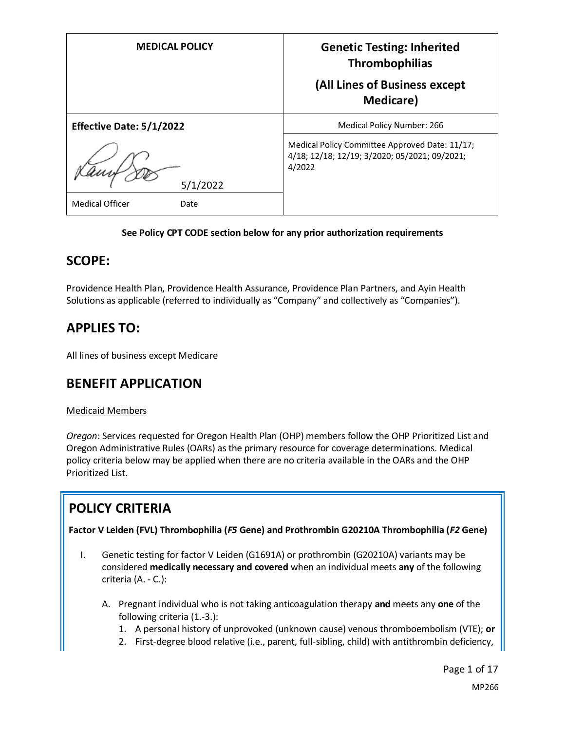| <b>MEDICAL POLICY</b>           | <b>Genetic Testing: Inherited</b><br><b>Thrombophilias</b><br>(All Lines of Business except               |
|---------------------------------|-----------------------------------------------------------------------------------------------------------|
|                                 | <b>Medicare</b> )                                                                                         |
| <b>Effective Date: 5/1/2022</b> | Medical Policy Number: 266                                                                                |
| 5/1/2022                        | Medical Policy Committee Approved Date: 11/17;<br>4/18; 12/18; 12/19; 3/2020; 05/2021; 09/2021;<br>4/2022 |
| <b>Medical Officer</b><br>Date  |                                                                                                           |

### **See Policy CPT CODE section below for any prior authorization requirements**

### **SCOPE:**

Providence Health Plan, Providence Health Assurance, Providence Plan Partners, and Ayin Health Solutions as applicable (referred to individually as "Company" and collectively as "Companies").

## **APPLIES TO:**

All lines of business except Medicare

## **BENEFIT APPLICATION**

### Medicaid Members

*Oregon*: Services requested for Oregon Health Plan (OHP) members follow the OHP Prioritized List and Oregon Administrative Rules (OARs) as the primary resource for coverage determinations. Medical policy criteria below may be applied when there are no criteria available in the OARs and the OHP Prioritized List.

# **POLICY CRITERIA**

**Factor V Leiden (FVL) Thrombophilia (***F5* **Gene) and Prothrombin G20210A Thrombophilia (***F2* **Gene)**

- I. Genetic testing for factor V Leiden (G1691A) or prothrombin (G20210A) variants may be considered **medically necessary and covered** when an individual meets **any** of the following criteria (A. - C.):
	- A. Pregnant individual who is not taking anticoagulation therapy **and** meets any **one** of the following criteria (1.-3.):
		- 1. A personal history of unprovoked (unknown cause) venous thromboembolism (VTE); **or**
		- 2. First-degree blood relative (i.e., parent, full-sibling, child) with antithrombin deficiency,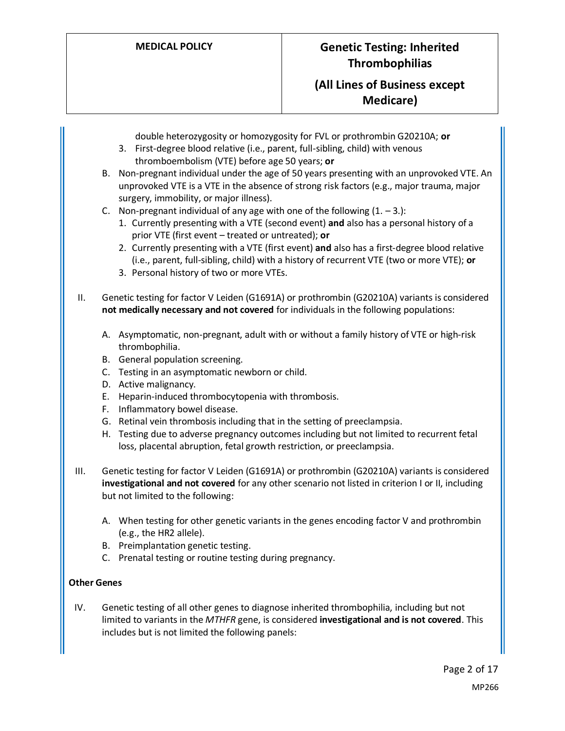### **(All Lines of Business except Medicare)**

double heterozygosity or homozygosity for FVL or prothrombin G20210A; **or**

- 3. First-degree blood relative (i.e., parent, full-sibling, child) with venous thromboembolism (VTE) before age 50 years; **or**
- B. Non-pregnant individual under the age of 50 years presenting with an unprovoked VTE. An unprovoked VTE is a VTE in the absence of strong risk factors (e.g., major trauma, major surgery, immobility, or major illness).
- C. Non-pregnant individual of any age with one of the following  $(1. -3.):$ 
	- 1. Currently presenting with a VTE (second event) **and** also has a personal history of a prior VTE (first event – treated or untreated); **or**
	- 2. Currently presenting with a VTE (first event) **and** also has a first-degree blood relative (i.e., parent, full-sibling, child) with a history of recurrent VTE (two or more VTE); **or**
	- 3. Personal history of two or more VTEs.

II. Genetic testing for factor V Leiden (G1691A) or prothrombin (G20210A) variants is considered **not medically necessary and not covered** for individuals in the following populations:

- A. Asymptomatic, non-pregnant, adult with or without a family history of VTE or high-risk thrombophilia.
- B. General population screening.
- C. Testing in an asymptomatic newborn or child.
- D. Active malignancy.
- E. Heparin-induced thrombocytopenia with thrombosis.
- F. Inflammatory bowel disease.
- G. Retinal vein thrombosis including that in the setting of preeclampsia.
- H. Testing due to adverse pregnancy outcomes including but not limited to recurrent fetal loss, placental abruption, fetal growth restriction, or preeclampsia.
- III. Genetic testing for factor V Leiden (G1691A) or prothrombin (G20210A) variants is considered **investigational and not covered** for any other scenario not listed in criterion I or II, including but not limited to the following:
	- A. When testing for other genetic variants in the genes encoding factor V and prothrombin (e.g., the HR2 allele).
	- B. Preimplantation genetic testing.
	- C. Prenatal testing or routine testing during pregnancy.

### **Other Genes**

IV. Genetic testing of all other genes to diagnose inherited thrombophilia, including but not limited to variants in the *MTHFR* gene, is considered **investigational and is not covered**. This includes but is not limited the following panels: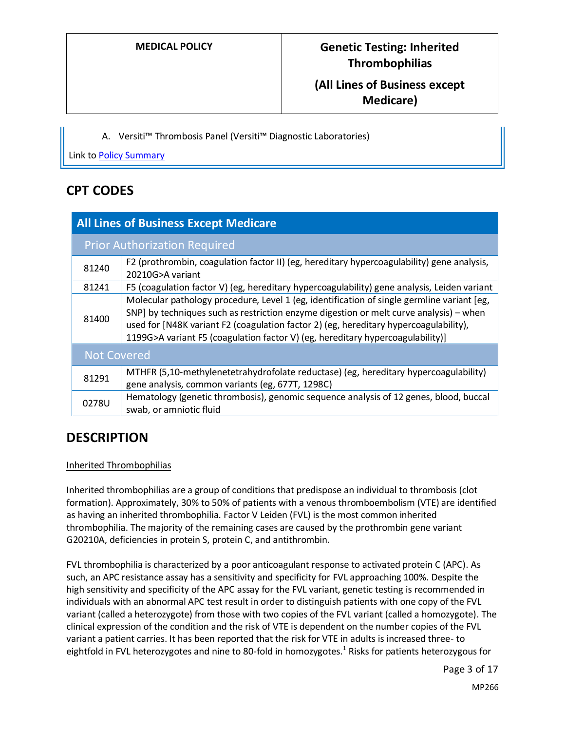### **(All Lines of Business except Medicare)**

A. Versiti™ Thrombosis Panel (Versiti™ Diagnostic Laboratories)

Link to [Policy Summary](#page-12-0)

### **CPT CODES**

| <b>All Lines of Business Except Medicare</b> |                                                                                                                                                                                                                                                                                                                                                                 |  |
|----------------------------------------------|-----------------------------------------------------------------------------------------------------------------------------------------------------------------------------------------------------------------------------------------------------------------------------------------------------------------------------------------------------------------|--|
| <b>Prior Authorization Required</b>          |                                                                                                                                                                                                                                                                                                                                                                 |  |
| 81240                                        | F2 (prothrombin, coagulation factor II) (eg, hereditary hypercoagulability) gene analysis,<br>20210G>A variant                                                                                                                                                                                                                                                  |  |
| 81241                                        | F5 (coagulation factor V) (eg, hereditary hypercoagulability) gene analysis, Leiden variant                                                                                                                                                                                                                                                                     |  |
| 81400                                        | Molecular pathology procedure, Level 1 (eg, identification of single germline variant [eg,<br>SNP] by techniques such as restriction enzyme digestion or melt curve analysis) - when<br>used for [N48K variant F2 (coagulation factor 2) (eg, hereditary hypercoagulability),<br>1199G>A variant F5 (coagulation factor V) (eg, hereditary hypercoagulability)] |  |
| <b>Not Covered</b>                           |                                                                                                                                                                                                                                                                                                                                                                 |  |
| 81291                                        | MTHFR (5,10-methylenetetrahydrofolate reductase) (eg, hereditary hypercoagulability)<br>gene analysis, common variants (eg, 677T, 1298C)                                                                                                                                                                                                                        |  |
| 0278U                                        | Hematology (genetic thrombosis), genomic sequence analysis of 12 genes, blood, buccal<br>swab, or amniotic fluid                                                                                                                                                                                                                                                |  |

### **DESCRIPTION**

### Inherited Thrombophilias

Inherited thrombophilias are a group of conditions that predispose an individual to thrombosis (clot formation). Approximately, 30% to 50% of patients with a venous thromboembolism (VTE) are identified as having an inherited thrombophilia. Factor V Leiden (FVL) is the most common inherited thrombophilia. The majority of the remaining cases are caused by the prothrombin gene variant G20210A, deficiencies in protein S, protein C, and antithrombin.

FVL thrombophilia is characterized by a poor anticoagulant response to activated protein C (APC). As such, an APC resistance assay has a sensitivity and specificity for FVL approaching 100%. Despite the high sensitivity and specificity of the APC assay for the FVL variant, genetic testing is recommended in individuals with an abnormal APC test result in order to distinguish patients with one copy of the FVL variant (called a heterozygote) from those with two copies of the FVL variant (called a homozygote). The clinical expression of the condition and the risk of VTE is dependent on the number copies of the FVL variant a patient carries. It has been reported that the risk for VTE in adults is increased three- to eightfold in FVL heterozygotes and nine to 80-fold in homozygotes.<sup>1</sup> Risks for patients heterozygous for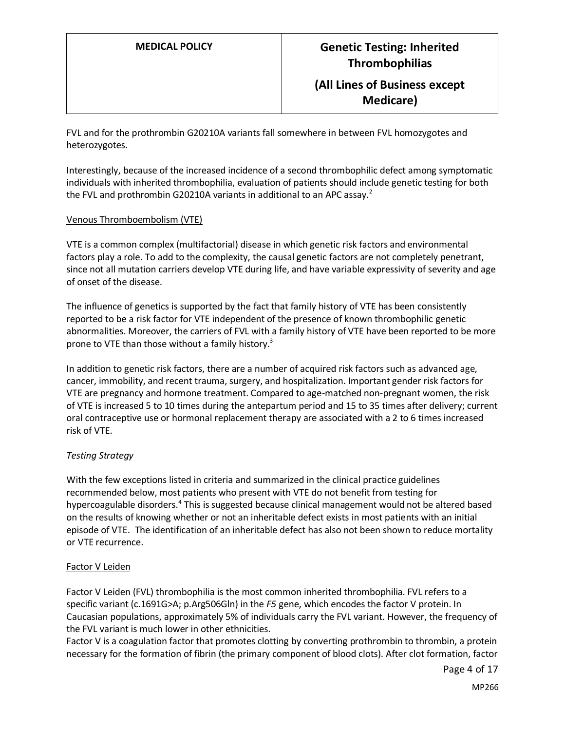### **(All Lines of Business except Medicare)**

FVL and for the prothrombin G20210A variants fall somewhere in between FVL homozygotes and heterozygotes.

Interestingly, because of the increased incidence of a second thrombophilic defect among symptomatic individuals with inherited thrombophilia, evaluation of patients should include genetic testing for both the FVL and prothrombin G20210A variants in additional to an APC assay.<sup>2</sup>

#### Venous Thromboembolism (VTE)

VTE is a common complex (multifactorial) disease in which genetic risk factors and environmental factors play a role. To add to the complexity, the causal genetic factors are not completely penetrant, since not all mutation carriers develop VTE during life, and have variable expressivity of severity and age of onset of the disease.

The influence of genetics is supported by the fact that family history of VTE has been consistently reported to be a risk factor for VTE independent of the presence of known thrombophilic genetic abnormalities. Moreover, the carriers of FVL with a family history of VTE have been reported to be more prone to VTE than those without a family history.<sup>3</sup>

In addition to genetic risk factors, there are a number of acquired risk factors such as advanced age, cancer, immobility, and recent trauma, surgery, and hospitalization. Important gender risk factors for VTE are pregnancy and hormone treatment. Compared to age-matched non-pregnant women, the risk of VTE is increased 5 to 10 times during the antepartum period and 15 to 35 times after delivery; current oral contraceptive use or hormonal replacement therapy are associated with a 2 to 6 times increased risk of VTE.

### *Testing Strategy*

With the few exceptions listed in criteria and summarized in the clinical practice guidelines recommended below, most patients who present with VTE do not benefit from testing for hypercoagulable disorders.<sup>4</sup> This is suggested because clinical management would not be altered based on the results of knowing whether or not an inheritable defect exists in most patients with an initial episode of VTE. The identification of an inheritable defect has also not been shown to reduce mortality or VTE recurrence.

#### Factor V Leiden

Factor V Leiden (FVL) thrombophilia is the most common inherited thrombophilia. FVL refers to a specific variant (c.1691G>A; p.Arg506Gln) in the *F5* gene, which encodes the factor V protein. In Caucasian populations, approximately 5% of individuals carry the FVL variant. However, the frequency of the FVL variant is much lower in other ethnicities.

Factor V is a coagulation factor that promotes clotting by converting prothrombin to thrombin, a protein necessary for the formation of fibrin (the primary component of blood clots). After clot formation, factor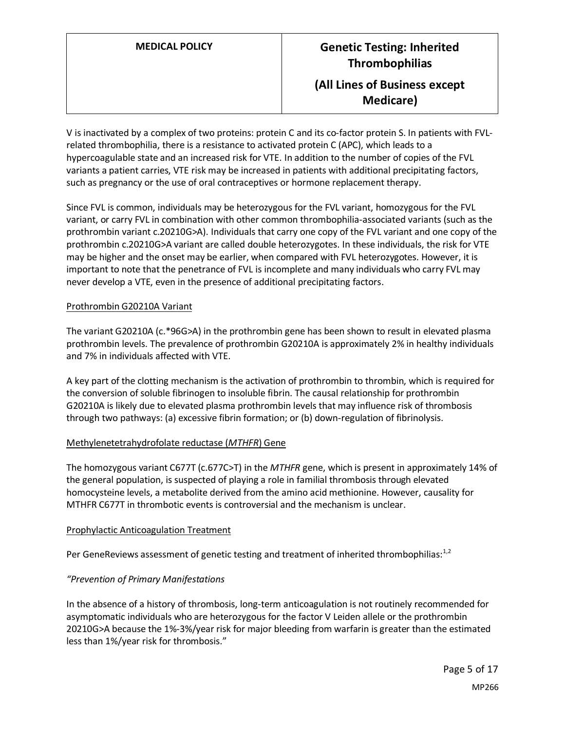V is inactivated by a complex of two proteins: protein C and its co-factor protein S. In patients with FVLrelated thrombophilia, there is a resistance to activated protein C (APC), which leads to a hypercoagulable state and an increased risk for VTE. In addition to the number of copies of the FVL variants a patient carries, VTE risk may be increased in patients with additional precipitating factors, such as pregnancy or the use of oral contraceptives or hormone replacement therapy.

Since FVL is common, individuals may be heterozygous for the FVL variant, homozygous for the FVL variant, or carry FVL in combination with other common thrombophilia-associated variants (such as the prothrombin variant c.20210G>A). Individuals that carry one copy of the FVL variant and one copy of the prothrombin c.20210G>A variant are called double heterozygotes. In these individuals, the risk for VTE may be higher and the onset may be earlier, when compared with FVL heterozygotes. However, it is important to note that the penetrance of FVL is incomplete and many individuals who carry FVL may never develop a VTE, even in the presence of additional precipitating factors.

#### Prothrombin G20210A Variant

The variant G20210A (c.\*96G>A) in the prothrombin gene has been shown to result in elevated plasma prothrombin levels. The prevalence of prothrombin G20210A is approximately 2% in healthy individuals and 7% in individuals affected with VTE.

A key part of the clotting mechanism is the activation of prothrombin to thrombin, which is required for the conversion of soluble fibrinogen to insoluble fibrin. The causal relationship for prothrombin G20210A is likely due to elevated plasma prothrombin levels that may influence risk of thrombosis through two pathways: (a) excessive fibrin formation; or (b) down-regulation of fibrinolysis.

#### Methylenetetrahydrofolate reductase (*MTHFR*) Gene

The homozygous variant C677T (c.677C>T) in the *MTHFR* gene, which is present in approximately 14% of the general population, is suspected of playing a role in familial thrombosis through elevated homocysteine levels, a metabolite derived from the amino acid methionine. However, causality for MTHFR C677T in thrombotic events is controversial and the mechanism is unclear.

#### Prophylactic Anticoagulation Treatment

Per GeneReviews assessment of genetic testing and treatment of inherited thrombophilias: $1,2$ 

### *"Prevention of Primary Manifestations*

In the absence of a history of thrombosis, long-term anticoagulation is not routinely recommended for asymptomatic individuals who ar[e heterozygous](https://www.ncbi.nlm.nih.gov/books/n/gene/glossary/def-item/heterozygous/) for the factor V Leiden [allele](https://www.ncbi.nlm.nih.gov/books/n/gene/glossary/def-item/allele/) or the prothrombin 20210G>A because the 1%-3%/year risk for major bleeding from warfarin is greater than the estimated less than 1%/year risk for thrombosis."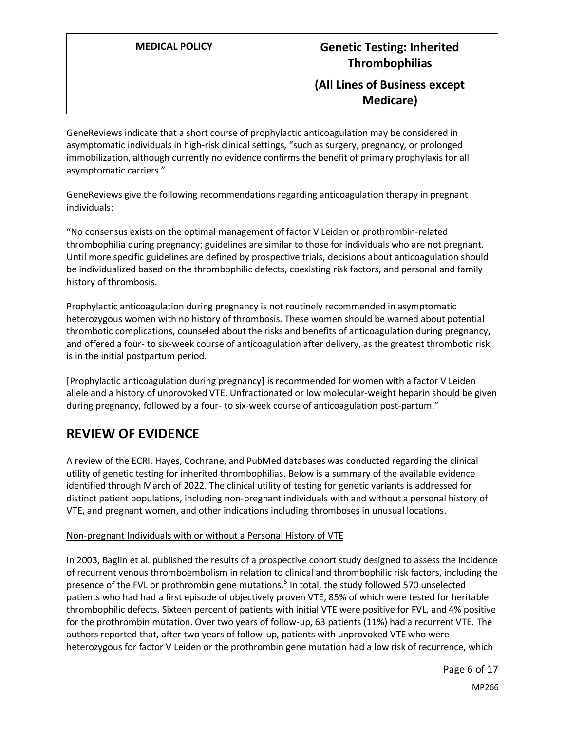### **(All Lines of Business except Medicare)**

GeneReviews indicate that a short course of prophylactic anticoagulation may be considered in asymptomatic individuals in high-risk clinical settings, "such as surgery, pregnancy, or prolonged immobilization, although currently no evidence confirms the benefit of primary prophylaxis for all asymptomatic carriers."

GeneReviews give the following recommendations regarding anticoagulation therapy in pregnant individuals:

"No consensus exists on the optimal management of factor V Leiden or prothrombin-related thrombophilia during pregnancy; guidelines are similar to those for individuals who are not pregnant. Until more specific guidelines are defined by prospective trials, decisions about anticoagulation should be individualized based on the thrombophilic defects, coexisting risk factors, and personal and family history of thrombosis.

Prophylactic anticoagulation during pregnancy is not routinely recommended in asymptomatic [heterozygous](https://www.ncbi.nlm.nih.gov/books/n/gene/glossary/def-item/heterozygous/) women with no history of thrombosis. These women should be warned about potential thrombotic complications, counseled about the risks and benefits of anticoagulation during pregnancy, and offered a four- to six-week course of anticoagulation after delivery, as the greatest thrombotic risk is in the initial postpartum period.

[Prophylactic anticoagulation during pregnancy] is recommended for women with a factor V Leiden [allele](https://www.ncbi.nlm.nih.gov/books/n/gene/glossary/def-item/allele/) and a history of unprovoked VTE. Unfractionated or low molecular-weight heparin should be given during pregnancy, followed by a four- to six-week course of anticoagulation post-partum."

## **REVIEW OF EVIDENCE**

A review of the ECRI, Hayes, Cochrane, and PubMed databases was conducted regarding the clinical utility of genetic testing for inherited thrombophilias. Below is a summary of the available evidence identified through March of 2022. The clinical utility of testing for genetic variants is addressed for distinct patient populations, including non-pregnant individuals with and without a personal history of VTE, and pregnant women, and other indications including thromboses in unusual locations.

### Non-pregnant Individuals with or without a Personal History of VTE

In 2003, Baglin et al. published the results of a prospective cohort study designed to assess the incidence of recurrent venous thromboembolism in relation to clinical and thrombophilic risk factors, including the presence of the FVL or prothrombin gene mutations. 5 In total, the study followed 570 unselected patients who had had a first episode of objectively proven VTE, 85% of which were tested for heritable thrombophilic defects. Sixteen percent of patients with initial VTE were positive for FVL, and 4% positive for the prothrombin mutation. Over two years of follow-up, 63 patients (11%) had a recurrent VTE. The authors reported that, after two years of follow-up, patients with unprovoked VTE who were heterozygous for factor V Leiden or the prothrombin gene mutation had a low risk of recurrence, which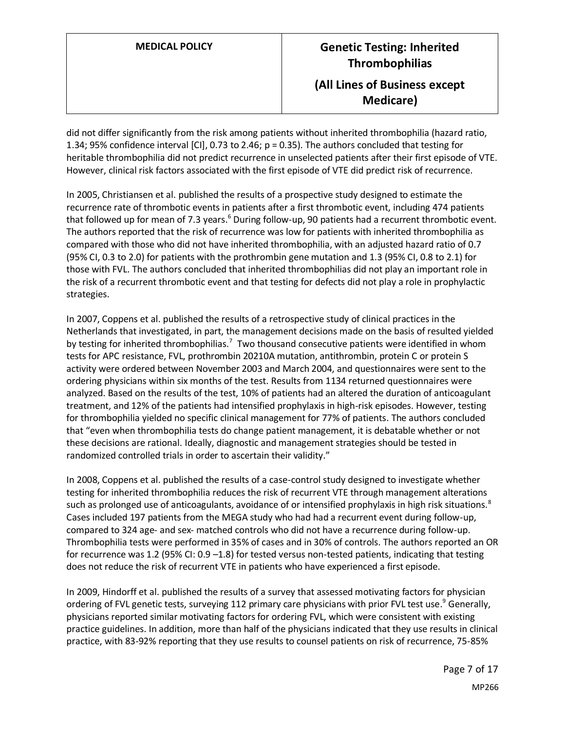# **MEDICAL POLICY Genetic Testing: Inherited Thrombophilias (All Lines of Business except Medicare)**

did not differ significantly from the risk among patients without inherited thrombophilia (hazard ratio, 1.34; 95% confidence interval [CI], 0.73 to 2.46; p = 0.35). The authors concluded that testing for heritable thrombophilia did not predict recurrence in unselected patients after their first episode of VTE. However, clinical risk factors associated with the first episode of VTE did predict risk of recurrence.

In 2005, Christiansen et al. published the results of a prospective study designed to estimate the recurrence rate of thrombotic events in patients after a first thrombotic event, including 474 patients that followed up for mean of 7.3 years.<sup>6</sup> During follow-up, 90 patients had a recurrent thrombotic event. The authors reported that the risk of recurrence was low for patients with inherited thrombophilia as compared with those who did not have inherited thrombophilia, with an adjusted hazard ratio of 0.7 (95% CI, 0.3 to 2.0) for patients with the prothrombin gene mutation and 1.3 (95% CI, 0.8 to 2.1) for those with FVL. The authors concluded that inherited thrombophilias did not play an important role in the risk of a recurrent thrombotic event and that testing for defects did not play a role in prophylactic strategies.

In 2007, Coppens et al. published the results of a retrospective study of clinical practices in the Netherlands that investigated, in part, the management decisions made on the basis of resulted yielded by testing for inherited thrombophilias.<sup>7</sup> Two thousand consecutive patients were identified in whom tests for APC resistance, FVL, prothrombin 20210A mutation, antithrombin, protein C or protein S activity were ordered between November 2003 and March 2004, and questionnaires were sent to the ordering physicians within six months of the test. Results from 1134 returned questionnaires were analyzed. Based on the results of the test, 10% of patients had an altered the duration of anticoagulant treatment, and 12% of the patients had intensified prophylaxis in high-risk episodes. However, testing for thrombophilia yielded no specific clinical management for 77% of patients. The authors concluded that "even when thrombophilia tests do change patient management, it is debatable whether or not these decisions are rational. Ideally, diagnostic and management strategies should be tested in randomized controlled trials in order to ascertain their validity."

In 2008, Coppens et al. published the results of a case-control study designed to investigate whether testing for inherited thrombophilia reduces the risk of recurrent VTE through management alterations such as prolonged use of anticoagulants, avoidance of or intensified prophylaxis in high risk situations.<sup>8</sup> Cases included 197 patients from the MEGA study who had had a recurrent event during follow-up, compared to 324 age- and sex- matched controls who did not have a recurrence during follow-up. Thrombophilia tests were performed in 35% of cases and in 30% of controls. The authors reported an OR for recurrence was 1.2 (95% CI: 0.9 –1.8) for tested versus non-tested patients, indicating that testing does not reduce the risk of recurrent VTE in patients who have experienced a first episode.

In 2009, Hindorff et al. published the results of a survey that assessed motivating factors for physician ordering of FVL genetic tests, surveying 112 primary care physicians with prior FVL test use.<sup>9</sup> Generally, physicians reported similar motivating factors for ordering FVL, which were consistent with existing practice guidelines. In addition, more than half of the physicians indicated that they use results in clinical practice, with 83-92% reporting that they use results to counsel patients on risk of recurrence, 75-85%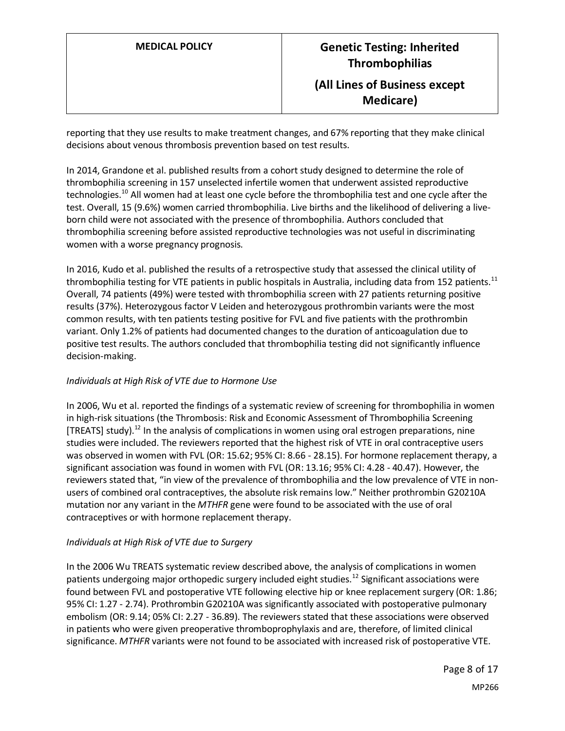reporting that they use results to make treatment changes, and 67% reporting that they make clinical decisions about venous thrombosis prevention based on test results.

In 2014, Grandone et al. published results from a cohort study designed to determine the role of thrombophilia screening in 157 unselected infertile women that underwent assisted reproductive technologies.<sup>10</sup> All women had at least one cycle before the thrombophilia test and one cycle after the test. Overall, 15 (9.6%) women carried thrombophilia. Live births and the likelihood of delivering a liveborn child were not associated with the presence of thrombophilia. Authors concluded that thrombophilia screening before assisted reproductive technologies was not useful in discriminating women with a worse pregnancy prognosis.

In 2016, Kudo et al. published the results of a retrospective study that assessed the clinical utility of thrombophilia testing for VTE patients in public hospitals in Australia, including data from 152 patients.<sup>11</sup> Overall, 74 patients (49%) were tested with thrombophilia screen with 27 patients returning positive results (37%). Heterozygous factor V Leiden and heterozygous prothrombin variants were the most common results, with ten patients testing positive for FVL and five patients with the prothrombin variant. Only 1.2% of patients had documented changes to the duration of anticoagulation due to positive test results. The authors concluded that thrombophilia testing did not significantly influence decision-making.

### *Individuals at High Risk of VTE due to Hormone Use*

In 2006, Wu et al. reported the findings of a systematic review of screening for thrombophilia in women in high-risk situations (the Thrombosis: Risk and Economic Assessment of Thrombophilia Screening [TREATS] study).<sup>12</sup> In the analysis of complications in women using oral estrogen preparations, nine studies were included. The reviewers reported that the highest risk of VTE in oral contraceptive users was observed in women with FVL (OR: 15.62; 95% CI: 8.66 - 28.15). For hormone replacement therapy, a significant association was found in women with FVL (OR: 13.16; 95% CI: 4.28 - 40.47). However, the reviewers stated that, "in view of the prevalence of thrombophilia and the low prevalence of VTE in nonusers of combined oral contraceptives, the absolute risk remains low." Neither prothrombin G20210A mutation nor any variant in the *MTHFR* gene were found to be associated with the use of oral contraceptives or with hormone replacement therapy.

#### *Individuals at High Risk of VTE due to Surgery*

In the 2006 Wu TREATS systematic review described above, the analysis of complications in women patients undergoing major orthopedic surgery included eight studies.<sup>12</sup> Significant associations were found between FVL and postoperative VTE following elective hip or knee replacement surgery (OR: 1.86; 95% CI: 1.27 - 2.74). Prothrombin G20210A was significantly associated with postoperative pulmonary embolism (OR: 9.14; 05% CI: 2.27 - 36.89). The reviewers stated that these associations were observed in patients who were given preoperative thromboprophylaxis and are, therefore, of limited clinical significance. *MTHFR* variants were not found to be associated with increased risk of postoperative VTE.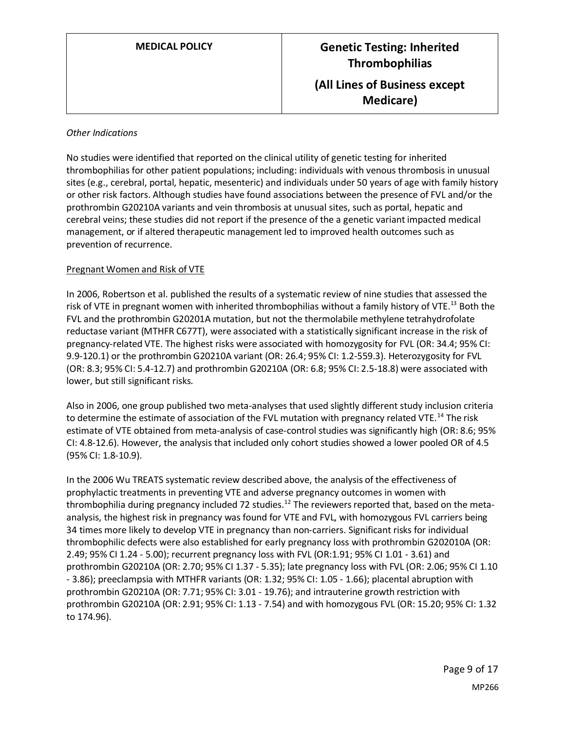#### *Other Indications*

No studies were identified that reported on the clinical utility of genetic testing for inherited thrombophilias for other patient populations; including: individuals with venous thrombosis in unusual sites (e.g., cerebral, portal, hepatic, mesenteric) and individuals under 50 years of age with family history or other risk factors. Although studies have found associations between the presence of FVL and/or the prothrombin G20210A variants and vein thrombosis at unusual sites, such as portal, hepatic and cerebral veins; these studies did not report if the presence of the a genetic variant impacted medical management, or if altered therapeutic management led to improved health outcomes such as prevention of recurrence.

#### Pregnant Women and Risk of VTE

In 2006, Robertson et al. published the results of a systematic review of nine studies that assessed the risk of VTE in pregnant women with inherited thrombophilias without a family history of VTE.<sup>13</sup> Both the FVL and the prothrombin G20201A mutation, but not the thermolabile methylene tetrahydrofolate reductase variant (MTHFR C677T), were associated with a statistically significant increase in the risk of pregnancy-related VTE. The highest risks were associated with homozygosity for FVL (OR: 34.4; 95% CI: 9.9-120.1) or the prothrombin G20210A variant (OR: 26.4; 95% CI: 1.2-559.3). Heterozygosity for FVL (OR: 8.3; 95% CI: 5.4-12.7) and prothrombin G20210A (OR: 6.8; 95% CI: 2.5-18.8) were associated with lower, but still significant risks.

Also in 2006, one group published two meta-analyses that used slightly different study inclusion criteria to determine the estimate of association of the FVL mutation with pregnancy related VTE.<sup>14</sup> The risk estimate of VTE obtained from meta-analysis of case-control studies was significantly high (OR: 8.6; 95% CI: 4.8-12.6). However, the analysis that included only cohort studies showed a lower pooled OR of 4.5 (95% CI: 1.8-10.9).

In the 2006 Wu TREATS systematic review described above, the analysis of the effectiveness of prophylactic treatments in preventing VTE and adverse pregnancy outcomes in women with thrombophilia during pregnancy included 72 studies.<sup>12</sup> The reviewers reported that, based on the metaanalysis, the highest risk in pregnancy was found for VTE and FVL, with homozygous FVL carriers being 34 times more likely to develop VTE in pregnancy than non-carriers. Significant risks for individual thrombophilic defects were also established for early pregnancy loss with prothrombin G202010A (OR: 2.49; 95% CI 1.24 - 5.00); recurrent pregnancy loss with FVL (OR:1.91; 95% CI 1.01 - 3.61) and prothrombin G20210A (OR: 2.70; 95% CI 1.37 - 5.35); late pregnancy loss with FVL (OR: 2.06; 95% CI 1.10 - 3.86); preeclampsia with MTHFR variants (OR: 1.32; 95% CI: 1.05 - 1.66); placental abruption with prothrombin G20210A (OR: 7.71; 95% CI: 3.01 - 19.76); and intrauterine growth restriction with prothrombin G20210A (OR: 2.91; 95% CI: 1.13 - 7.54) and with homozygous FVL (OR: 15.20; 95% CI: 1.32 to 174.96).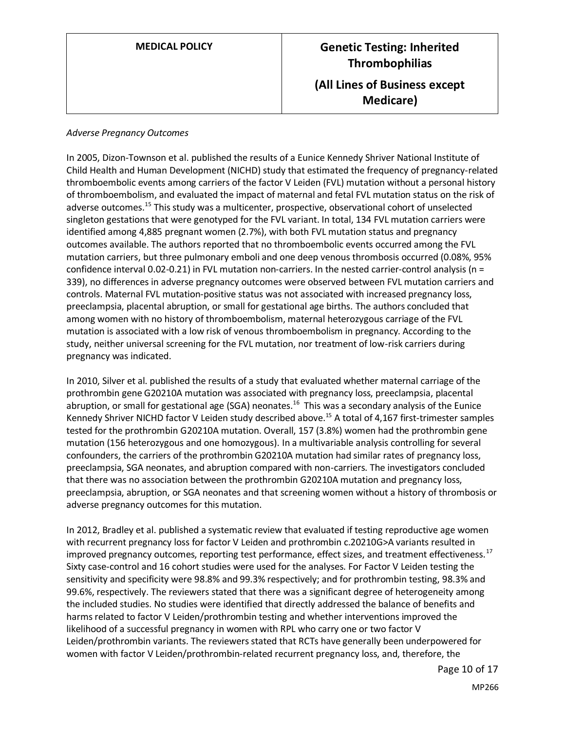| <b>MEDICAL POLICY</b> |  |
|-----------------------|--|
|-----------------------|--|

# **MEDICAL POLICY CONCRETE: Inherited Thrombophilias (All Lines of Business except Medicare)**

#### *Adverse Pregnancy Outcomes*

In 2005, Dizon-Townson et al. published the results of a Eunice Kennedy Shriver National Institute of Child Health and Human Development (NICHD) study that estimated the frequency of pregnancy-related thromboembolic events among carriers of the factor V Leiden (FVL) mutation without a personal history of thromboembolism, and evaluated the impact of maternal and fetal FVL mutation status on the risk of adverse outcomes.<sup>15</sup> This study was a multicenter, prospective, observational cohort of unselected singleton gestations that were genotyped for the FVL variant. In total, 134 FVL mutation carriers were identified among 4,885 pregnant women (2.7%), with both FVL mutation status and pregnancy outcomes available. The authors reported that no thromboembolic events occurred among the FVL mutation carriers, but three pulmonary emboli and one deep venous thrombosis occurred (0.08%, 95% confidence interval 0.02-0.21) in FVL mutation non-carriers. In the nested carrier-control analysis (n = 339), no differences in adverse pregnancy outcomes were observed between FVL mutation carriers and controls. Maternal FVL mutation-positive status was not associated with increased pregnancy loss, preeclampsia, placental abruption, or small for gestational age births. The authors concluded that among women with no history of thromboembolism, maternal heterozygous carriage of the FVL mutation is associated with a low risk of venous thromboembolism in pregnancy. According to the study, neither universal screening for the FVL mutation, nor treatment of low-risk carriers during pregnancy was indicated.

In 2010, Silver et al. published the results of a study that evaluated whether maternal carriage of the prothrombin gene G20210A mutation was associated with pregnancy loss, preeclampsia, placental abruption, or small for gestational age (SGA) neonates.<sup>16</sup> This was a secondary analysis of the Eunice Kennedy Shriver NICHD factor V Leiden study described above. <sup>15</sup> A total of 4,167 first-trimester samples tested for the prothrombin G20210A mutation. Overall, 157 (3.8%) women had the prothrombin gene mutation (156 heterozygous and one homozygous). In a multivariable analysis controlling for several confounders, the carriers of the prothrombin G20210A mutation had similar rates of pregnancy loss, preeclampsia, SGA neonates, and abruption compared with non-carriers. The investigators concluded that there was no association between the prothrombin G20210A mutation and pregnancy loss, preeclampsia, abruption, or SGA neonates and that screening women without a history of thrombosis or adverse pregnancy outcomes for this mutation.

In 2012, Bradley et al. published a systematic review that evaluated if testing reproductive age women with recurrent pregnancy loss for factor V Leiden and prothrombin c.20210G>A variants resulted in improved pregnancy outcomes, reporting test performance, effect sizes, and treatment effectiveness.<sup>17</sup> Sixty case-control and 16 cohort studies were used for the analyses. For Factor V Leiden testing the sensitivity and specificity were 98.8% and 99.3% respectively; and for prothrombin testing, 98.3% and 99.6%, respectively. The reviewers stated that there was a significant degree of heterogeneity among the included studies. No studies were identified that directly addressed the balance of benefits and harms related to factor V Leiden/prothrombin testing and whether interventions improved the likelihood of a successful pregnancy in women with RPL who carry one or two factor V Leiden/prothrombin variants. The reviewers stated that RCTs have generally been underpowered for women with factor V Leiden/prothrombin-related recurrent pregnancy loss, and, therefore, the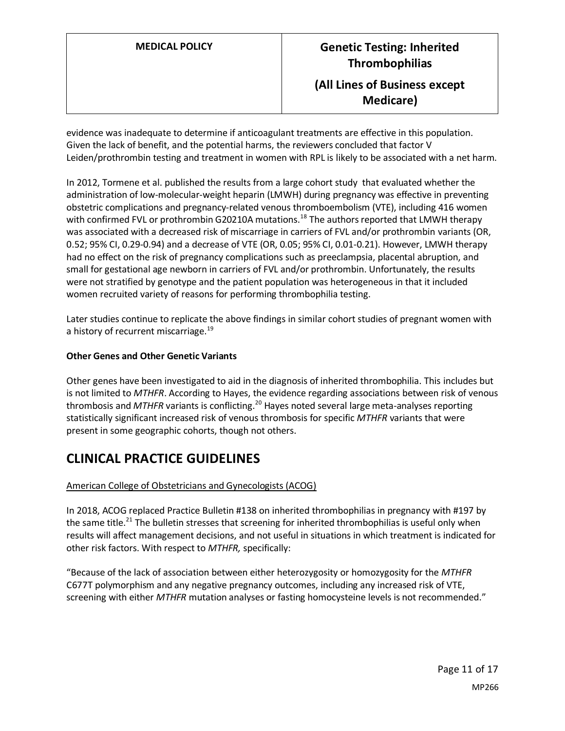evidence was inadequate to determine if anticoagulant treatments are effective in this population. Given the lack of benefit, and the potential harms, the reviewers concluded that factor V Leiden/prothrombin testing and treatment in women with RPL is likely to be associated with a net harm.

In 2012, Tormene et al. published the results from a large cohort study that evaluated whether the administration of low-molecular-weight heparin (LMWH) during pregnancy was effective in preventing obstetric complications and pregnancy-related venous thromboembolism (VTE), including 416 women with confirmed FVL or prothrombin G20210A mutations.<sup>18</sup> The authors reported that LMWH therapy was associated with a decreased risk of miscarriage in carriers of FVL and/or prothrombin variants (OR, 0.52; 95% CI, 0.29-0.94) and a decrease of VTE (OR, 0.05; 95% CI, 0.01-0.21). However, LMWH therapy had no effect on the risk of pregnancy complications such as preeclampsia, placental abruption, and small for gestational age newborn in carriers of FVL and/or prothrombin. Unfortunately, the results were not stratified by genotype and the patient population was heterogeneous in that it included women recruited variety of reasons for performing thrombophilia testing.

Later studies continue to replicate the above findings in similar cohort studies of pregnant women with a history of recurrent miscarriage.<sup>19</sup>

### **Other Genes and Other Genetic Variants**

Other genes have been investigated to aid in the diagnosis of inherited thrombophilia. This includes but is not limited to *MTHFR*. According to Hayes, the evidence regarding associations between risk of venous thrombosis and *MTHFR* variants is conflicting.<sup>20</sup> Hayes noted several large meta-analyses reporting statistically significant increased risk of venous thrombosis for specific *MTHFR* variants that were present in some geographic cohorts, though not others.

### **CLINICAL PRACTICE GUIDELINES**

### American College of Obstetricians and Gynecologists (ACOG)

In 2018, ACOG replaced Practice Bulletin #138 on inherited thrombophilias in pregnancy with #197 by the same title.<sup>21</sup> The bulletin stresses that screening for inherited thrombophilias is useful only when results will affect management decisions, and not useful in situations in which treatment is indicated for other risk factors. With respect to *MTHFR,* specifically:

"Because of the lack of association between either heterozygosity or homozygosity for the *MTHFR* C677T polymorphism and any negative pregnancy outcomes, including any increased risk of VTE, screening with either *MTHFR* mutation analyses or fasting homocysteine levels is not recommended."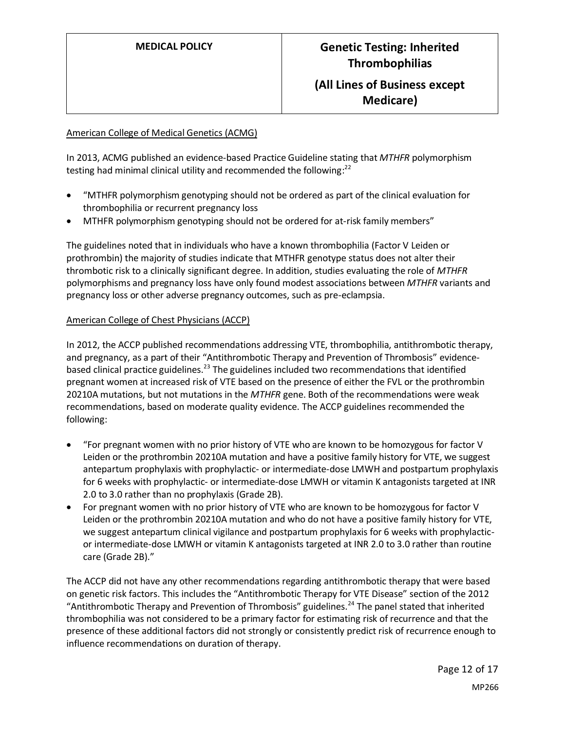### **(All Lines of Business except Medicare)**

#### American College of Medical Genetics (ACMG)

In 2013, ACMG published an evidence-based Practice Guideline stating that *MTHFR* polymorphism testing had minimal clinical utility and recommended the following: $^{22}$ 

- "MTHFR polymorphism genotyping should not be ordered as part of the clinical evaluation for thrombophilia or recurrent pregnancy loss
- MTHFR polymorphism genotyping should not be ordered for at-risk family members"

The guidelines noted that in individuals who have a known thrombophilia (Factor V Leiden or prothrombin) the majority of studies indicate that MTHFR genotype status does not alter their thrombotic risk to a clinically significant degree. In addition, studies evaluating the role of *MTHFR* polymorphisms and pregnancy loss have only found modest associations between *MTHFR* variants and pregnancy loss or other adverse pregnancy outcomes, such as pre-eclampsia.

#### American College of Chest Physicians (ACCP)

In 2012, the ACCP published recommendations addressing VTE, thrombophilia, antithrombotic therapy, and pregnancy, as a part of their "Antithrombotic Therapy and Prevention of Thrombosis" evidencebased clinical practice guidelines.<sup>23</sup> The guidelines included two recommendations that identified pregnant women at increased risk of VTE based on the presence of either the FVL or the prothrombin 20210A mutations, but not mutations in the *MTHFR* gene. Both of the recommendations were weak recommendations, based on moderate quality evidence. The ACCP guidelines recommended the following:

- "For pregnant women with no prior history of VTE who are known to be homozygous for factor V Leiden or the prothrombin 20210A mutation and have a positive family history for VTE, we suggest antepartum prophylaxis with prophylactic- or intermediate-dose LMWH and postpartum prophylaxis for 6 weeks with prophylactic- or intermediate-dose LMWH or vitamin K antagonists targeted at INR 2.0 to 3.0 rather than no prophylaxis (Grade 2B).
- For pregnant women with no prior history of VTE who are known to be homozygous for factor V Leiden or the prothrombin 20210A mutation and who do not have a positive family history for VTE, we suggest antepartum clinical vigilance and postpartum prophylaxis for 6 weeks with prophylacticor intermediate-dose LMWH or vitamin K antagonists targeted at INR 2.0 to 3.0 rather than routine care (Grade 2B)."

The ACCP did not have any other recommendations regarding antithrombotic therapy that were based on genetic risk factors. This includes the "Antithrombotic Therapy for VTE Disease" section of the 2012 "Antithrombotic Therapy and Prevention of Thrombosis" guidelines.<sup>24</sup> The panel stated that inherited thrombophilia was not considered to be a primary factor for estimating risk of recurrence and that the presence of these additional factors did not strongly or consistently predict risk of recurrence enough to influence recommendations on duration of therapy.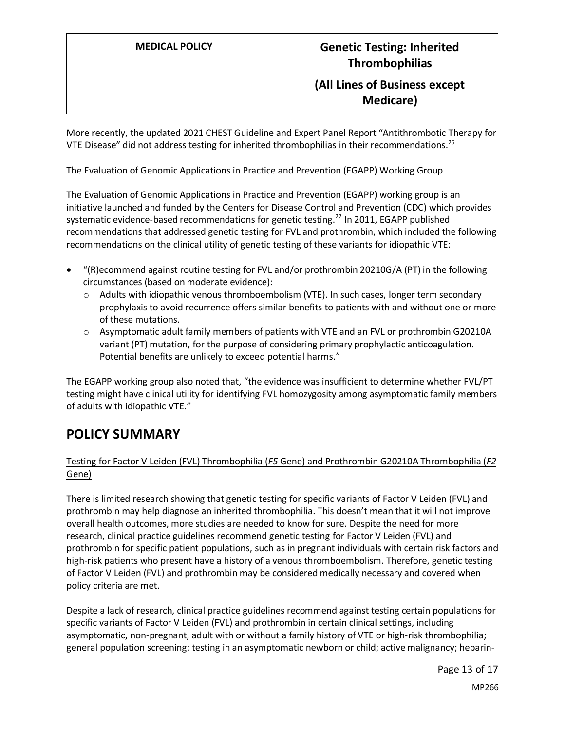### **(All Lines of Business except Medicare)**

More recently, the updated 2021 CHEST Guideline and Expert Panel Report "Antithrombotic Therapy for VTE Disease" did not address testing for inherited thrombophilias in their recommendations.<sup>25</sup>

#### The Evaluation of Genomic Applications in Practice and Prevention (EGAPP) Working Group

The Evaluation of Genomic Applications in Practice and Prevention (EGAPP) working group is an initiative launched and funded by the Centers for Disease Control and Prevention (CDC) which provides systematic evidence-based recommendations for genetic testing.<sup>27</sup> In 2011, EGAPP published recommendations that addressed genetic testing for FVL and prothrombin, which included the following recommendations on the clinical utility of genetic testing of these variants for idiopathic VTE:

- "(R)ecommend against routine testing for FVL and/or prothrombin 20210G/A (PT) in the following circumstances (based on moderate evidence):
	- $\circ$  Adults with idiopathic venous thromboembolism (VTE). In such cases, longer term secondary prophylaxis to avoid recurrence offers similar benefits to patients with and without one or more of these mutations.
	- o Asymptomatic adult family members of patients with VTE and an FVL or prothrombin G20210A variant (PT) mutation, for the purpose of considering primary prophylactic anticoagulation. Potential benefits are unlikely to exceed potential harms."

The EGAPP working group also noted that, "the evidence was insufficient to determine whether FVL/PT testing might have clinical utility for identifying FVL homozygosity among asymptomatic family members of adults with idiopathic VTE."

### <span id="page-12-0"></span>**POLICY SUMMARY**

### Testing for Factor V Leiden (FVL) Thrombophilia (*F5* Gene) and Prothrombin G20210A Thrombophilia (*F2* Gene)

There is limited research showing that genetic testing for specific variants of Factor V Leiden (FVL) and prothrombin may help diagnose an inherited thrombophilia. This doesn't mean that it will not improve overall health outcomes, more studies are needed to know for sure. Despite the need for more research, clinical practice guidelines recommend genetic testing for Factor V Leiden (FVL) and prothrombin for specific patient populations, such as in pregnant individuals with certain risk factors and high-risk patients who present have a history of a venous thromboembolism. Therefore, genetic testing of Factor V Leiden (FVL) and prothrombin may be considered medically necessary and covered when policy criteria are met.

Despite a lack of research, clinical practice guidelines recommend against testing certain populations for specific variants of Factor V Leiden (FVL) and prothrombin in certain clinical settings, including asymptomatic, non-pregnant, adult with or without a family history of VTE or high-risk thrombophilia; general population screening; testing in an asymptomatic newborn or child; active malignancy; heparin-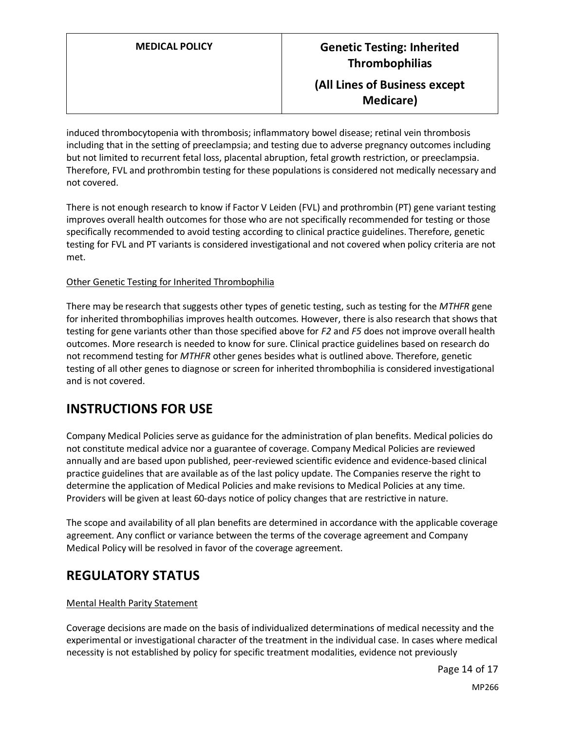**Medicare)**

induced thrombocytopenia with thrombosis; inflammatory bowel disease; retinal vein thrombosis including that in the setting of preeclampsia; and testing due to adverse pregnancy outcomes including but not limited to recurrent fetal loss, placental abruption, fetal growth restriction, or preeclampsia. Therefore, FVL and prothrombin testing for these populations is considered not medically necessary and not covered.

There is not enough research to know if Factor V Leiden (FVL) and prothrombin (PT) gene variant testing improves overall health outcomes for those who are not specifically recommended for testing or those specifically recommended to avoid testing according to clinical practice guidelines. Therefore, genetic testing for FVL and PT variants is considered investigational and not covered when policy criteria are not met.

### Other Genetic Testing for Inherited Thrombophilia

There may be research that suggests other types of genetic testing, such as testing for the *MTHFR* gene for inherited thrombophilias improves health outcomes. However, there is also research that shows that testing for gene variants other than those specified above for *F2* and *F5* does not improve overall health outcomes. More research is needed to know for sure. Clinical practice guidelines based on research do not recommend testing for *MTHFR* other genes besides what is outlined above. Therefore, genetic testing of all other genes to diagnose or screen for inherited thrombophilia is considered investigational and is not covered.

## **INSTRUCTIONS FOR USE**

Company Medical Policies serve as guidance for the administration of plan benefits. Medical policies do not constitute medical advice nor a guarantee of coverage. Company Medical Policies are reviewed annually and are based upon published, peer-reviewed scientific evidence and evidence-based clinical practice guidelines that are available as of the last policy update. The Companies reserve the right to determine the application of Medical Policies and make revisions to Medical Policies at any time. Providers will be given at least 60-days notice of policy changes that are restrictive in nature.

The scope and availability of all plan benefits are determined in accordance with the applicable coverage agreement. Any conflict or variance between the terms of the coverage agreement and Company Medical Policy will be resolved in favor of the coverage agreement.

# **REGULATORY STATUS**

### Mental Health Parity Statement

Coverage decisions are made on the basis of individualized determinations of medical necessity and the experimental or investigational character of the treatment in the individual case. In cases where medical necessity is not established by policy for specific treatment modalities, evidence not previously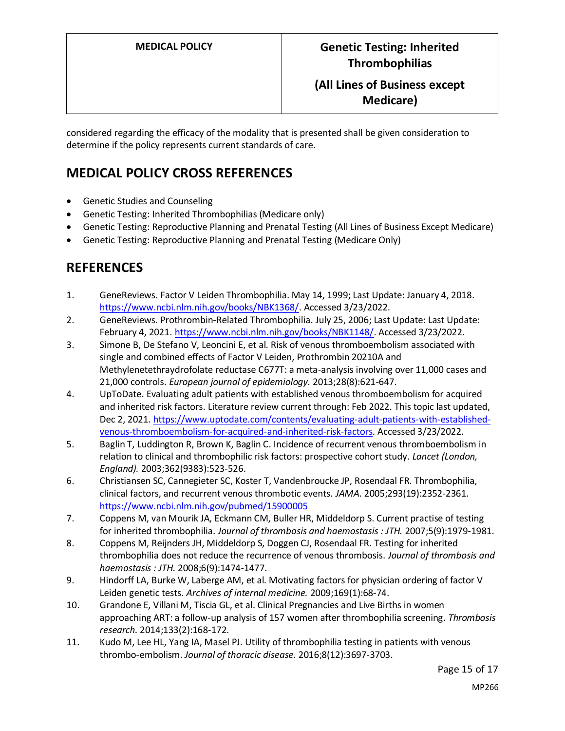### **(All Lines of Business except Medicare)**

considered regarding the efficacy of the modality that is presented shall be given consideration to determine if the policy represents current standards of care.

## **MEDICAL POLICY CROSS REFERENCES**

- Genetic Studies and Counseling
- Genetic Testing: Inherited Thrombophilias (Medicare only)
- Genetic Testing: Reproductive Planning and Prenatal Testing (All Lines of Business Except Medicare)
- Genetic Testing: Reproductive Planning and Prenatal Testing (Medicare Only)

### **REFERENCES**

- 1. GeneReviews. Factor V Leiden Thrombophilia. May 14, 1999; Last Update: January 4, 2018. [https://www.ncbi.nlm.nih.gov/books/NBK1368/.](https://www.ncbi.nlm.nih.gov/books/NBK1368/) Accessed 3/23/2022.
- 2. GeneReviews. Prothrombin-Related Thrombophilia. July 25, 2006; Last Update: Last Update: February 4, 2021. [https://www.ncbi.nlm.nih.gov/books/NBK1148/.](https://www.ncbi.nlm.nih.gov/books/NBK1148/) Accessed 3/23/2022.
- 3. Simone B, De Stefano V, Leoncini E, et al. Risk of venous thromboembolism associated with single and combined effects of Factor V Leiden, Prothrombin 20210A and Methylenetethraydrofolate reductase C677T: a meta-analysis involving over 11,000 cases and 21,000 controls. *European journal of epidemiology.* 2013;28(8):621-647.
- 4. UpToDate. Evaluating adult patients with established venous thromboembolism for acquired and inherited risk factors. Literature review current through: Feb 2022. This topic last updated, Dec 2, 2021. [https://www.uptodate.com/contents/evaluating-adult-patients-with-established](https://www.uptodate.com/contents/evaluating-adult-patients-with-established-venous-thromboembolism-for-acquired-and-inherited-risk-factors)[venous-thromboembolism-for-acquired-and-inherited-risk-factors.](https://www.uptodate.com/contents/evaluating-adult-patients-with-established-venous-thromboembolism-for-acquired-and-inherited-risk-factors) Accessed 3/23/2022.
- 5. Baglin T, Luddington R, Brown K, Baglin C. Incidence of recurrent venous thromboembolism in relation to clinical and thrombophilic risk factors: prospective cohort study. *Lancet (London, England).* 2003;362(9383):523-526.
- 6. Christiansen SC, Cannegieter SC, Koster T, Vandenbroucke JP, Rosendaal FR. Thrombophilia, clinical factors, and recurrent venous thrombotic events. *JAMA.* 2005;293(19):2352-2361. <https://www.ncbi.nlm.nih.gov/pubmed/15900005>
- 7. Coppens M, van Mourik JA, Eckmann CM, Buller HR, Middeldorp S. Current practise of testing for inherited thrombophilia. *Journal of thrombosis and haemostasis : JTH.* 2007;5(9):1979-1981.
- 8. Coppens M, Reijnders JH, Middeldorp S, Doggen CJ, Rosendaal FR. Testing for inherited thrombophilia does not reduce the recurrence of venous thrombosis. *Journal of thrombosis and haemostasis : JTH.* 2008;6(9):1474-1477.
- 9. Hindorff LA, Burke W, Laberge AM, et al. Motivating factors for physician ordering of factor V Leiden genetic tests. *Archives of internal medicine.* 2009;169(1):68-74.
- 10. Grandone E, Villani M, Tiscia GL, et al. Clinical Pregnancies and Live Births in women approaching ART: a follow-up analysis of 157 women after thrombophilia screening. *Thrombosis research.* 2014;133(2):168-172.
- 11. Kudo M, Lee HL, Yang IA, Masel PJ. Utility of thrombophilia testing in patients with venous thrombo-embolism. *Journal of thoracic disease.* 2016;8(12):3697-3703.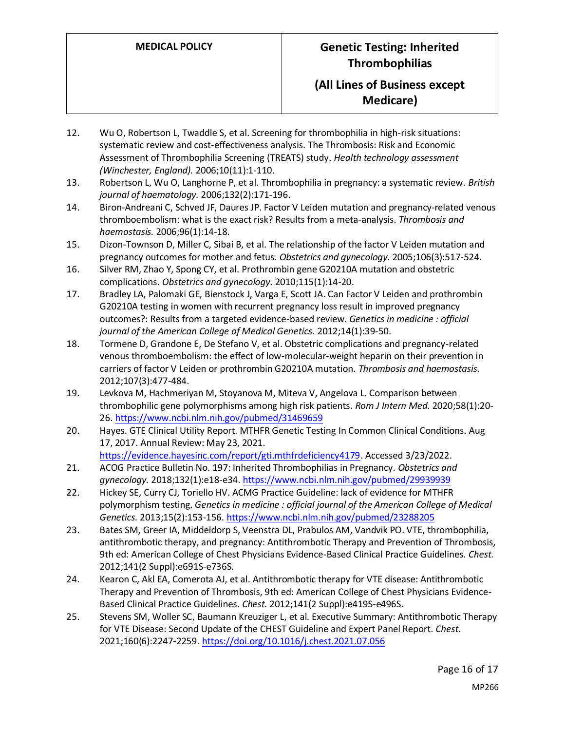### **(All Lines of Business except Medicare)**

- 12. Wu O, Robertson L, Twaddle S, et al. Screening for thrombophilia in high-risk situations: systematic review and cost-effectiveness analysis. The Thrombosis: Risk and Economic Assessment of Thrombophilia Screening (TREATS) study. *Health technology assessment (Winchester, England).* 2006;10(11):1-110.
- 13. Robertson L, Wu O, Langhorne P, et al. Thrombophilia in pregnancy: a systematic review. *British journal of haematology.* 2006;132(2):171-196.
- 14. Biron-Andreani C, Schved JF, Daures JP. Factor V Leiden mutation and pregnancy-related venous thromboembolism: what is the exact risk? Results from a meta-analysis. *Thrombosis and haemostasis.* 2006;96(1):14-18.
- 15. Dizon-Townson D, Miller C, Sibai B, et al. The relationship of the factor V Leiden mutation and pregnancy outcomes for mother and fetus. *Obstetrics and gynecology.* 2005;106(3):517-524.
- 16. Silver RM, Zhao Y, Spong CY, et al. Prothrombin gene G20210A mutation and obstetric complications. *Obstetrics and gynecology.* 2010;115(1):14-20.
- 17. Bradley LA, Palomaki GE, Bienstock J, Varga E, Scott JA. Can Factor V Leiden and prothrombin G20210A testing in women with recurrent pregnancy loss result in improved pregnancy outcomes?: Results from a targeted evidence-based review. *Genetics in medicine : official journal of the American College of Medical Genetics.* 2012;14(1):39-50.
- 18. Tormene D, Grandone E, De Stefano V, et al. Obstetric complications and pregnancy-related venous thromboembolism: the effect of low-molecular-weight heparin on their prevention in carriers of factor V Leiden or prothrombin G20210A mutation. *Thrombosis and haemostasis.*  2012;107(3):477-484.
- 19. Levkova M, Hachmeriyan M, Stoyanova M, Miteva V, Angelova L. Comparison between thrombophilic gene polymorphisms among high risk patients. *Rom J Intern Med.* 2020;58(1):20- 26[. https://www.ncbi.nlm.nih.gov/pubmed/31469659](https://www.ncbi.nlm.nih.gov/pubmed/31469659)
- 20. Hayes. GTE Clinical Utility Report. MTHFR Genetic Testing In Common Clinical Conditions. Aug 17, 2017. Annual Review: May 23, 2021. [https://evidence.hayesinc.com/report/gti.mthfrdeficiency4179.](https://evidence.hayesinc.com/report/gti.mthfrdeficiency4179) Accessed 3/23/2022.
- 21. ACOG Practice Bulletin No. 197: Inherited Thrombophilias in Pregnancy. *Obstetrics and gynecology.* 2018;132(1):e18-e34[. https://www.ncbi.nlm.nih.gov/pubmed/29939939](https://www.ncbi.nlm.nih.gov/pubmed/29939939)
- 22. Hickey SE, Curry CJ, Toriello HV. ACMG Practice Guideline: lack of evidence for MTHFR polymorphism testing. *Genetics in medicine : official journal of the American College of Medical Genetics.* 2013;15(2):153-156[. https://www.ncbi.nlm.nih.gov/pubmed/23288205](https://www.ncbi.nlm.nih.gov/pubmed/23288205)
- 23. Bates SM, Greer IA, Middeldorp S, Veenstra DL, Prabulos AM, Vandvik PO. VTE, thrombophilia, antithrombotic therapy, and pregnancy: Antithrombotic Therapy and Prevention of Thrombosis, 9th ed: American College of Chest Physicians Evidence-Based Clinical Practice Guidelines. *Chest.*  2012;141(2 Suppl):e691S-e736S.
- 24. Kearon C, Akl EA, Comerota AJ, et al. Antithrombotic therapy for VTE disease: Antithrombotic Therapy and Prevention of Thrombosis, 9th ed: American College of Chest Physicians Evidence-Based Clinical Practice Guidelines. *Chest.* 2012;141(2 Suppl):e419S-e496S.
- 25. Stevens SM, Woller SC, Baumann Kreuziger L, et al. Executive Summary: Antithrombotic Therapy for VTE Disease: Second Update of the CHEST Guideline and Expert Panel Report. *Chest.*  2021;160(6):2247-2259[. https://doi.org/10.1016/j.chest.2021.07.056](https://doi.org/10.1016/j.chest.2021.07.056)